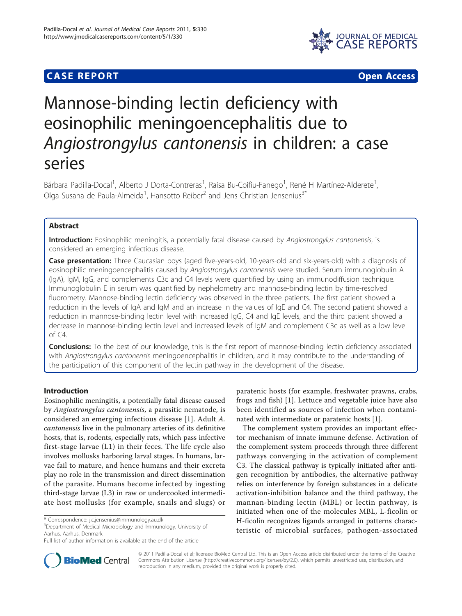# **CASE REPORT CASE REPORT CASE ACCESS**



# Mannose-binding lectin deficiency with eosinophilic meningoencephalitis due to Angiostrongylus cantonensis in children: a case series

Bárbara Padilla-Docal<sup>1</sup>, Alberto J Dorta-Contreras<sup>1</sup>, Raisa Bu-Coifiu-Fanego<sup>1</sup>, René H Martínez-Alderete<sup>1</sup> , Olga Susana de Paula-Almeida<sup>1</sup>, Hansotto Reiber<sup>2</sup> and Jens Christian Jensenius<sup>3\*</sup>

# Abstract

Introduction: Eosinophilic meningitis, a potentially fatal disease caused by Angiostrongylus cantonensis, is considered an emerging infectious disease.

Case presentation: Three Caucasian boys (aged five-years-old, 10-years-old and six-years-old) with a diagnosis of eosinophilic meningoencephalitis caused by Angiostrongylus cantonensis were studied. Serum immunoglobulin A (IgA), IgM, IgG, and complements C3c and C4 levels were quantified by using an immunodiffusion technique. Immunoglobulin E in serum was quantified by nephelometry and mannose-binding lectin by time-resolved fluorometry. Mannose-binding lectin deficiency was observed in the three patients. The first patient showed a reduction in the levels of IgA and IgM and an increase in the values of IgE and C4. The second patient showed a reduction in mannose-binding lectin level with increased IgG, C4 and IgE levels, and the third patient showed a decrease in mannose-binding lectin level and increased levels of IgM and complement C3c as well as a low level of C4.

**Conclusions:** To the best of our knowledge, this is the first report of mannose-binding lectin deficiency associated with Angiostrongylus cantonensis meningoencephalitis in children, and it may contribute to the understanding of the participation of this component of the lectin pathway in the development of the disease.

# Introduction

Eosinophilic meningitis, a potentially fatal disease caused by Angiostrongylus cantonensis, a parasitic nematode, is considered an emerging infectious disease [[1](#page-3-0)]. Adult A. cantonensis live in the pulmonary arteries of its definitive hosts, that is, rodents, especially rats, which pass infective first-stage larvae (L1) in their feces. The life cycle also involves mollusks harboring larval stages. In humans, larvae fail to mature, and hence humans and their excreta play no role in the transmission and direct dissemination of the parasite. Humans become infected by ingesting third-stage larvae (L3) in raw or undercooked intermediate host mollusks (for example, snails and slugs) or

<sup>3</sup>Department of Medical Microbiology and Immunology, University of Aarhus, Aarhus, Denmark

paratenic hosts (for example, freshwater prawns, crabs, frogs and fish) [[1\]](#page-3-0). Lettuce and vegetable juice have also been identified as sources of infection when contaminated with intermediate or paratenic hosts [\[1\]](#page-3-0).

The complement system provides an important effector mechanism of innate immune defense. Activation of the complement system proceeds through three different pathways converging in the activation of complement C3. The classical pathway is typically initiated after antigen recognition by antibodies, the alternative pathway relies on interference by foreign substances in a delicate activation-inhibition balance and the third pathway, the mannan-binding lectin (MBL) or lectin pathway, is initiated when one of the molecules MBL, L-ficolin or H-ficolin recognizes ligands arranged in patterns characteristic of microbial surfaces, pathogen-associated



© 2011 Padilla-Docal et al; licensee BioMed Central Ltd. This is an Open Access article distributed under the terms of the Creative Commons Attribution License [\(http://creativecommons.org/licenses/by/2.0](http://creativecommons.org/licenses/by/2.0)), which permits unrestricted use, distribution, and reproduction in any medium, provided the original work is properly cited.

<sup>\*</sup> Correspondence: [j.c.jensenius@immunology.au.dk](mailto:j.c.jensenius@immunology.au.dk)

Full list of author information is available at the end of the article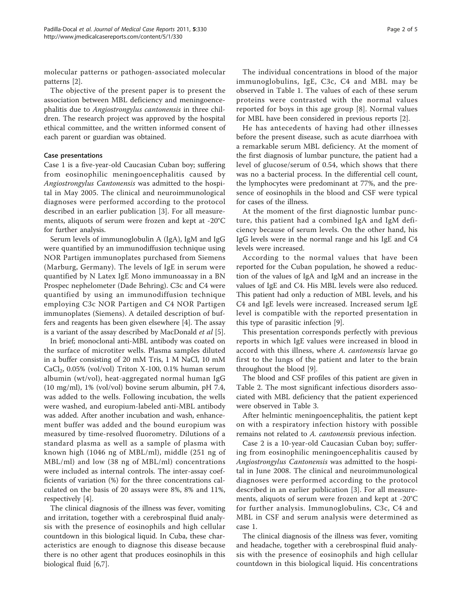molecular patterns or pathogen-associated molecular patterns [\[2](#page-4-0)].

The objective of the present paper is to present the association between MBL deficiency and meningoencephalitis due to Angiostrongylus cantonensis in three children. The research project was approved by the hospital ethical committee, and the written informed consent of each parent or guardian was obtained.

#### Case presentations

Case 1 is a five-year-old Caucasian Cuban boy; suffering from eosinophilic meningoencephalitis caused by Angiostrongylus Cantonensis was admitted to the hospital in May 2005. The clinical and neuroimmunological diagnoses were performed according to the protocol described in an earlier publication [[3\]](#page-4-0). For all measurements, aliquots of serum were frozen and kept at -20°C for further analysis.

Serum levels of immunoglobulin A (IgA), IgM and IgG were quantified by an immunodiffusion technique using NOR Partigen immunoplates purchased from Siemens (Marburg, Germany). The levels of IgE in serum were quantified by N Latex IgE Mono immunoassay in a BN Prospec nephelometer (Dade Behring). C3c and C4 were quantified by using an immunodiffusion technique employing C3c NOR Partigen and C4 NOR Partigen immunoplates (Siemens). A detailed description of buffers and reagents has been given elsewhere [[4\]](#page-4-0). The assay is a variant of the assay described by MacDonald et al [\[5](#page-4-0)].

In brief; monoclonal anti-MBL antibody was coated on the surface of microtiter wells. Plasma samples diluted in a buffer consisting of 20 mM Tris, 1 M NaCl, 10 mM  $CaCl<sub>2</sub>$ , 0.05% (vol/vol) Triton X-100, 0.1% human serum albumin (wt/vol), heat-aggregated normal human IgG (10 mg/ml), 1% (vol/vol) bovine serum albumin, pH 7.4, was added to the wells. Following incubation, the wells were washed, and europium-labeled anti-MBL antibody was added. After another incubation and wash, enhancement buffer was added and the bound europium was measured by time-resolved fluorometry. Dilutions of a standard plasma as well as a sample of plasma with known high (1046 ng of MBL/ml), middle (251 ng of MBL/ml) and low (38 ng of MBL/ml) concentrations were included as internal controls. The inter-assay coefficients of variation (%) for the three concentrations calculated on the basis of 20 assays were 8%, 8% and 11%, respectively [\[4](#page-4-0)].

The clinical diagnosis of the illness was fever, vomiting and irritation, together with a cerebrospinal fluid analysis with the presence of eosinophils and high cellular countdown in this biological liquid. In Cuba, these characteristics are enough to diagnose this disease because there is no other agent that produces eosinophils in this biological fluid [[6](#page-4-0),[7](#page-4-0)].

The individual concentrations in blood of the major immunoglobulins, IgE, C3c, C4 and MBL may be observed in Table [1](#page-2-0). The values of each of these serum proteins were contrasted with the normal values reported for boys in this age group [[8\]](#page-4-0). Normal values for MBL have been considered in previous reports [[2\]](#page-4-0).

He has antecedents of having had other illnesses before the present disease, such as acute diarrhoea with a remarkable serum MBL deficiency. At the moment of the first diagnosis of lumbar puncture, the patient had a level of glucose/serum of 0.54, which shows that there was no a bacterial process. In the differential cell count, the lymphocytes were predominant at 77%, and the presence of eosinophils in the blood and CSF were typical for cases of the illness.

At the moment of the first diagnostic lumbar puncture, this patient had a combined IgA and IgM deficiency because of serum levels. On the other hand, his IgG levels were in the normal range and his IgE and C4 levels were increased.

According to the normal values that have been reported for the Cuban population, he showed a reduction of the values of IgA and IgM and an increase in the values of IgE and C4. His MBL levels were also reduced. This patient had only a reduction of MBL levels, and his C4 and IgE levels were increased. Increased serum IgE level is compatible with the reported presentation in this type of parasitic infection [[9](#page-4-0)].

This presentation corresponds perfectly with previous reports in which IgE values were increased in blood in accord with this illness, where A. cantonensis larvae go first to the lungs of the patient and later to the brain throughout the blood [\[9](#page-4-0)].

The blood and CSF profiles of this patient are given in Table [2.](#page-2-0) The most significant infectious disorders associated with MBL deficiency that the patient experienced were observed in Table [3.](#page-2-0)

After helmintic meningoencephalitis, the patient kept on with a respiratory infection history with possible remains not related to A. cantonensis previous infection.

Case 2 is a 10-year-old Caucasian Cuban boy; suffering from eosinophilic meningoencephalitis caused by Angiostrongylus Cantonensis was admitted to the hospital in June 2008. The clinical and neuroimmunological diagnoses were performed according to the protocol described in an earlier publication [[3\]](#page-4-0). For all measurements, aliquots of serum were frozen and kept at -20°C for further analysis. Immunoglobulins, C3c, C4 and MBL in CSF and serum analysis were determined as case 1.

The clinical diagnosis of the illness was fever, vomiting and headache, together with a cerebrospinal fluid analysis with the presence of eosinophils and high cellular countdown in this biological liquid. His concentrations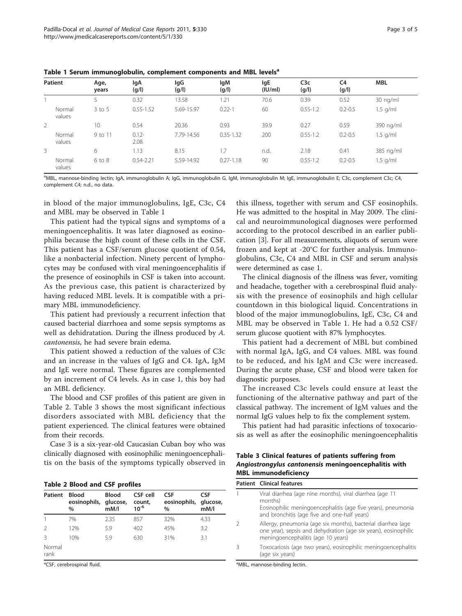<span id="page-2-0"></span>Table 1 Serum immunoglobulin, complement components and MBL levels<sup>a</sup>

| Patient          | Age,<br>years   | lgA<br>(g/l)     | lgG<br>(g/l) | lgM<br>(g/l)  | lgE<br>(IU/ml) | C <sub>3</sub> c<br>(g/l) | C <sub>4</sub><br>(g/l) | <b>MBL</b> |
|------------------|-----------------|------------------|--------------|---------------|----------------|---------------------------|-------------------------|------------|
|                  | 5               | 0.32             | 13.58        | 1.21          | 70.6           | 0.39                      | 0.52                    | $30$ ng/ml |
| Normal<br>values | $3$ to 5        | $0.55 - 1.52$    | 5.69-15.97   | $0.22 - 1$    | 60             | $0.55 - 1.2$              | $0.2 - 0.5$             | $1.5$ g/ml |
|                  | 10 <sup>°</sup> | 0.54             | 20.36        | 0.93          | 39.9           | 0.27                      | 0.59                    | 390 ng/ml  |
| Normal<br>values | 9 to 11         | $0.12 -$<br>2.08 | 7.79-14.56   | $0.35 - 1.32$ | 200            | $0.55 - 1.2$              | $0.2 - 0.5$             | $1.5$ g/ml |
| 3                | 6               | 1.13             | 8.15         | 1.7           | n.d.           | 2.18                      | 0.41                    | 385 ng/ml  |
| Normal<br>values | $6$ to $8$      | $0.54 - 2.21$    | 5.59-14.92   | $0.27 - 1.18$ | 90             | $0.55 - 1.2$              | $0.2 - 0.5$             | $1.5$ g/ml |

a MBL, mannose-binding lectin; IgA, immunoglobulin A; IgG, immunoglobulin G, IgM, immunoglobulin M; IgE, immunoglobulin E; C3c, complement C3c; C4, complement C4; n.d., no data.

in blood of the major immunoglobulins, IgE, C3c, C4 and MBL may be observed in Table 1

This patient had the typical signs and symptoms of a meningoencephalitis. It was later diagnosed as eosinophilia because the high count of these cells in the CSF. This patient has a CSF/serum glucose quotient of 0.54, like a nonbacterial infection. Ninety percent of lymphocytes may be confused with viral meningoencephalitis if the presence of eosinophils in CSF is taken into account. As the previous case, this patient is characterized by having reduced MBL levels. It is compatible with a primary MBL immunodeficiency.

This patient had previously a recurrent infection that caused bacterial diarrhoea and some sepsis symptoms as well as dehidratation. During the illness produced by A. cantonensis, he had severe brain edema.

This patient showed a reduction of the values of C3c and an increase in the values of IgG and C4. IgA, IgM and IgE were normal. These figures are complemented by an increment of C4 levels. As in case 1, this boy had an MBL deficiency.

The blood and CSF profiles of this patient are given in Table 2. Table 3 shows the most significant infectious disorders associated with MBL deficiency that the patient experienced. The clinical features were obtained from their records.

Case 3 is a six-year-old Caucasian Cuban boy who was clinically diagnosed with eosinophilic meningoencephalitis on the basis of the symptoms typically observed in

Table 2 Blood and CSF profiles

| <b>Patient</b> | <b>Blood</b><br>eosinophils,<br>$\%$ | <b>Blood</b><br>glucose,<br>mM/I | CSF cell<br>count,<br>$10^{-6}$ | <b>CSF</b><br>eosinophils,<br>$\%$ | <b>CSF</b><br>glucose,<br>mM/I |
|----------------|--------------------------------------|----------------------------------|---------------------------------|------------------------------------|--------------------------------|
|                | 7%                                   | 2.35                             | 857                             | 32%                                | 4.33                           |
| $\mathcal{P}$  | 12%                                  | 5.9                              | 402                             | 45%                                | 3.2                            |
| 3              | 10%                                  | 5.9                              | 630                             | 31%                                | 3.1                            |
| Normal<br>rank |                                      |                                  |                                 |                                    |                                |

<sup>a</sup>CSF, cerebrospinal fluid.

this illness, together with serum and CSF eosinophils. He was admitted to the hospital in May 2009. The clinical and neuroimmunological diagnoses were performed according to the protocol described in an earlier publication [\[3](#page-4-0)]. For all measurements, aliquots of serum were frozen and kept at -20°C for further analysis. Immunoglobulins, C3c, C4 and MBL in CSF and serum analysis were determined as case 1.

The clinical diagnosis of the illness was fever, vomiting and headache, together with a cerebrospinal fluid analysis with the presence of eosinophils and high cellular countdown in this biological liquid. Concentrations in blood of the major immunoglobulins, IgE, C3c, C4 and MBL may be observed in Table 1. He had a 0.52 CSF/ serum glucose quotient with 87% lymphocytes.

This patient had a decrement of MBL but combined with normal IgA, IgG, and C4 values. MBL was found to be reduced, and his IgM and C3c were increased. During the acute phase, CSF and blood were taken for diagnostic purposes.

The increased C3c levels could ensure at least the functioning of the alternative pathway and part of the classical pathway. The increment of IgM values and the normal IgG values help to fix the complement system.

This patient had had parasitic infections of toxocariosis as well as after the eosinophilic meningoencephalitis

Table 3 Clinical features of patients suffering from Angiostrongylus cantonensis meningoencephalitis with MBL immunodeficiency

| <b>Patient</b> Clinical features                                                                                                                                                    |
|-------------------------------------------------------------------------------------------------------------------------------------------------------------------------------------|
| Viral diarrhea (age nine months), viral diarrhea (age 11<br>months)<br>Eosinophilic meningoencephalitis (age five years), pneumonia<br>and bronchitis (age five and one-half years) |
| Allergy, pneumonia (age six months), bacterial diarrhea (age<br>one year), sepsis and dehydration (age six years), eosinophilic<br>meningoencephalitis (age 10 years)               |
| Toxocariosis (age two years), eosinophilic meningoencephalitis<br>(age six years)                                                                                                   |
|                                                                                                                                                                                     |

<sup>a</sup>MBL, mannose-binding lectin.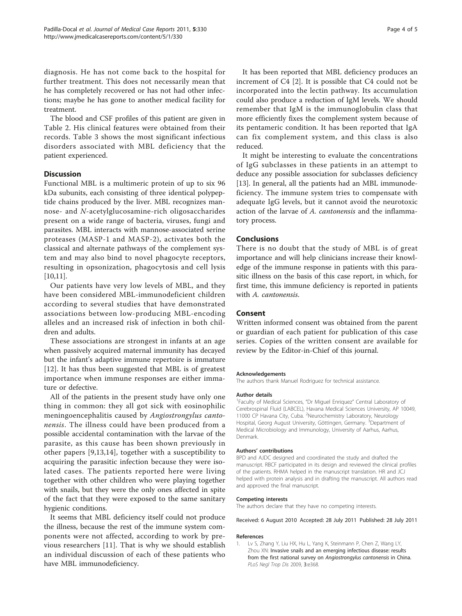<span id="page-3-0"></span>diagnosis. He has not come back to the hospital for further treatment. This does not necessarily mean that he has completely recovered or has not had other infections; maybe he has gone to another medical facility for treatment.

The blood and CSF profiles of this patient are given in Table [2](#page-2-0). His clinical features were obtained from their records. Table [3](#page-2-0) shows the most significant infectious disorders associated with MBL deficiency that the patient experienced.

# **Discussion**

Functional MBL is a multimeric protein of up to six 96 kDa subunits, each consisting of three identical polypeptide chains produced by the liver. MBL recognizes mannose- and N-acetylglucosamine-rich oligosaccharides present on a wide range of bacteria, viruses, fungi and parasites. MBL interacts with mannose-associated serine proteases (MASP-1 and MASP-2), activates both the classical and alternate pathways of the complement system and may also bind to novel phagocyte receptors, resulting in opsonization, phagocytosis and cell lysis [[10,11\]](#page-4-0).

Our patients have very low levels of MBL, and they have been considered MBL-immunodeficient children according to several studies that have demonstrated associations between low-producing MBL-encoding alleles and an increased risk of infection in both children and adults.

These associations are strongest in infants at an age when passively acquired maternal immunity has decayed but the infant's adaptive immune repertoire is immature [[12\]](#page-4-0). It has thus been suggested that MBL is of greatest importance when immune responses are either immature or defective.

All of the patients in the present study have only one thing in common: they all got sick with eosinophilic meningoencephalitis caused by Angiostrongylus cantonensis. The illness could have been produced from a possible accidental contamination with the larvae of the parasite, as this cause has been shown previously in other papers [[9,13,14](#page-4-0)], together with a susceptibility to acquiring the parasitic infection because they were isolated cases. The patients reported here were living together with other children who were playing together with snails, but they were the only ones affected in spite of the fact that they were exposed to the same sanitary hygienic conditions.

It seems that MBL deficiency itself could not produce the illness, because the rest of the immune system components were not affected, according to work by previous researchers [[11\]](#page-4-0). That is why we should establish an individual discussion of each of these patients who have MBL immunodeficiency.

It has been reported that MBL deficiency produces an increment of C4 [\[2](#page-4-0)]. It is possible that C4 could not be incorporated into the lectin pathway. Its accumulation could also produce a reduction of IgM levels. We should remember that IgM is the immunoglobulin class that more efficiently fixes the complement system because of its pentameric condition. It has been reported that IgA can fix complement system, and this class is also reduced.

It might be interesting to evaluate the concentrations of IgG subclasses in these patients in an attempt to deduce any possible association for subclasses deficiency [[13\]](#page-4-0). In general, all the patients had an MBL immunodeficiency. The immune system tries to compensate with adequate IgG levels, but it cannot avoid the neurotoxic action of the larvae of A. cantonensis and the inflammatory process.

# Conclusions

There is no doubt that the study of MBL is of great importance and will help clinicians increase their knowledge of the immune response in patients with this parasitic illness on the basis of this case report, in which, for first time, this immune deficiency is reported in patients with A. cantonensis.

# Consent

Written informed consent was obtained from the parent or guardian of each patient for publication of this case series. Copies of the written consent are available for review by the Editor-in-Chief of this journal.

#### Acknowledgements

The authors thank Manuel Rodriguez for technical assistance.

#### Author details

<sup>1</sup>Faculty of Medical Sciences, "Dr Miguel Enriquez" Central Laboratory of Cerebrospinal Fluid (LABCEL), Havana Medical Sciences University, AP 10049, 11000 CP Havana City, Cuba. <sup>2</sup>Neurochemistry Laboratory, Neurology Hospital, Georg August University, Göttingen, Germany. <sup>3</sup>Department of Medical Microbiology and Immunology, University of Aarhus, Aarhus, Denmark.

#### Authors' contributions

BPD and AJDC designed and coordinated the study and drafted the manuscript. RBCF participated in its design and reviewed the clinical profiles of the patients. RHMA helped in the manuscript translation. HR and JCJ helped with protein analysis and in drafting the manuscript. All authors read and approved the final manuscript.

#### Competing interests

The authors declare that they have no competing interests.

Received: 6 August 2010 Accepted: 28 July 2011 Published: 28 July 2011

#### References

1. Lv S, Zhang Y, Liu HX, Hu L, Yang K, Steinmann P, Chen Z, Wang LY, Zhou XN: [Invasive snails and an emerging infectious disease: results](http://www.ncbi.nlm.nih.gov/pubmed/19190771?dopt=Abstract) [from the first national survey on](http://www.ncbi.nlm.nih.gov/pubmed/19190771?dopt=Abstract) Angiostrongylus cantonensis in China. PLoS Negl Trop Dis 2009, 3:e368.